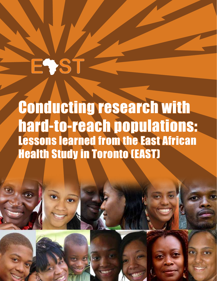# Conducting research with hard-to-reach populations: Lessons learned from the East African Health Study in Toronto (EAST)

Conducting research with hard-to-reach populations: Lessons learned from the East African Health Study in Toronto

EVS<sup>®</sup>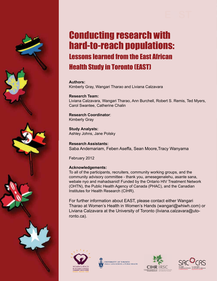

## Conducting research with hard-to-reach populations: Lessons learned from the East African Health Study in Toronto (EAST)

#### **Authors:**

Kimberly Gray, Wangari Tharao and Liviana Calzavara

#### **Research Team:**

Liviana Calzavara, Wangari Tharao, Ann Burchell, Robert S. Remis, Ted Myers, Carol Swantee, Catherine Chalin

#### **Research Coordinator**: Kimberly Gray

**Study Analysts:** Ashley Johns, Jane Polsky

#### **Research Assistants:** Saba Andemariam, Feben Aseffa, Sean Moore,Tracy Wanyama

February 2012

#### **Acknowledgements:**

To all of the participants, recruiters, community working groups, and the community advisory committee - thank you, amesegenalehu, asante sana, webale nyo and mahadsanid! Funded by the Ontario HIV Treatment Network (OHTN), the Public Health Agency of Canada (PHAC), and the Canadian Institutes for Health Research (CIHR).

For further information about EAST, please contact either Wangari Tharao at Women's Health in Women's Hands (wangari@whiwh.com) or Liviana Calzavara at the University of Toronto (liviana.calzavara@utoronto.ca).







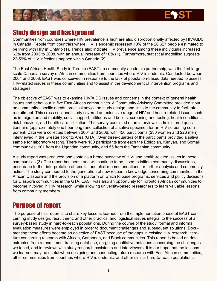

## Study design and background

Communities from countries where HIV prevalence is high are also disproportionally affected by HIV/AIDS in Canada. People from countries where HIV is endemic represent 18% of the 26,627 people estimated to be living with HIV in Ontario (1). Trends also indicate HIV prevalence among these individuals increased 62% from 2003 to 2008, with an annual increase of 10% (1). Furthermore, statistical modelling suggests 22-59% of HIV infections happen within Canada (2).

The East African Health Study in Toronto (EAST), a community-academic partnership, was the first largescale Canadian survey of African communities from countries where HIV is endemic. Conducted between 2004 and 2008, EAST was conceived in response to the lack of population-based data needed to assess HIV-related issues in these communities and to assist in the development of intervention programs and strategies.

The objective of EAST was to examine HIV/AIDS issues and concerns in the context of general health issues and behaviour in five East African communities. A Community Advisory Committee provided input on community-specific needs, practical advice on study design, and links to the community to facilitate recruitment. This cross-sectional study covered an extensive range of HIV and health-related issues such as immigration and mobility, social support, attitudes and beliefs, screening and testing, health conditions, risk behaviour, and health care utilization. The survey consisted of an interviewer-administered questionnaire (approximately one hour long) and collection of a saliva specimen for an HIV screening component. Data were collected between 2004 and 2006, with 456 participants (230 women and 226 men) interviewed in the Greater Toronto Area (GTA). Over three-quarters of the participants provided a saliva sample for laboratory testing. There were 100 participants from each the Ethiopian, Kenyan, and Somali communities, 101 from the Ugandan community, and 55 from the Tanzanian community.

A study report was produced and contains a broad overview of HIV- and health-related issues in these communities (3). The report has been, and will continue to be, used to initiate community discussions, encourage further interpretation of results, and elicit recommendations for further analysis and community action. The study contributed to the generation of new research knowledge concerning communities in the African Diaspora and the provision of a platform on which to base programs, services and policy decisions for Diaspora communities in the GTA. EAST was also an opportunity for Toronto's African communities to become involved in HIV research, while allowing university-based researchers to learn valuable lessons from community members.

## Purpose of report

The purpose of this report is to share key lessons learned from the implementation phase of EAST concerning study design, recruitment, and other practical and logistical issues integral to the success of a survey-based study in hard-to-reach populations. During the course of the study, formal and informal evaluation measures were employed in order to document challenges and subsequent solutions. Documenting these efforts became an objective of EAST because of the gaps in existing HIV research literature concerning research with African, Caribbean, and Black communities. This report is based on data extracted from a recruitment tracking database, on-going qualitative notations concerning the challenges we faced, and interviews with study research assistants and interviewers. It is our hope that the lessons we learned may be useful when designing and conducting future research with East African communities, other communities from countries where HIV is endemic, and other similar hard-to-reach populations.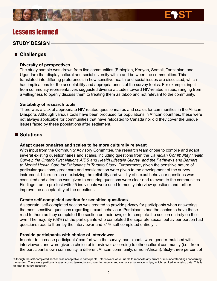### Lessons learned

#### **STUDY DESIGN**

#### **Challenges**

#### **Diversity of perspectives**

The study sample was drawn from five communities (Ethiopian, Kenyan, Somali, Tanzanian, and Ugandan) that display cultural and social diversity within and between the communities. This translated into differing preferences in how sensitive health and social issues are discussed, which had implications for the acceptability and appropriateness of the survey topics. For example, input from community representatives suggested diverse attitudes toward HIV-related issues, ranging from a willingness to openly discuss them to treating them as taboo and not relevant to the community.

#### **Suitability of research tools**

There was a lack of appropriate HIV-related questionnaires and scales for communities in the African Diaspora. Although various tools have been produced for populations in African countries, these were not always applicable for communities that have relocated to Canada nor did they cover the unique issues faced by these populations after settlement.

#### ■ Solutions

#### **Adapt questionnaires and scales to be more culturally relevant**

With input from the Community Advisory Committee, the research team chose to compile and adapt several existing questionnaires and scales, including questions from the *Canadian Community Health Survey, the Ontario First Nations AIDS and Health Lifestyle Survey, and the Pathways and Barriers to Mental Health Care for Ethiopians in Toronto Study*. Furthermore, given the sensitive nature of particular questions, great care and consideration were given to the development of the survey instrument. Literature on maximizing the reliability and validity of sexual behaviour questions was consulted and attention was given to ensuring questions were clear and relevant to the communities. Findings from a pre-test with 25 individuals were used to modify interview questions and further improve the acceptability of the questions.

#### **Create self-completed section for sensitive questions**

A separate, self-completed section was created to provide privacy for participants when answering the most sensitive questions regarding sexual behaviour. Participants had the choice to have these read to them as they completed the section on their own, or to complete the section entirely on their own. The majority (68%) of the participants who completed the separate sexual behaviour portion had questions read to them by the interviewer and  $31\%$  self-completed entirely<sup>1</sup>.

#### **Provide participants with choice of interviewer**

In order to increase participants' comfort with the survey, participants were gender-matched with interviewers and were given a choice of interviewer according to ethnocultural community (i.e., from the participant's own community, a different African community, or non-African). Sixty-three percent of

1 Although the self-completed section was acceptable to participants, interviewers were unable to reconcile any errors or misunderstandings concerning the section. There were particular issues around terminology concerning regular and casual sexual relationships, which resulted in missing data. This is an area for future research.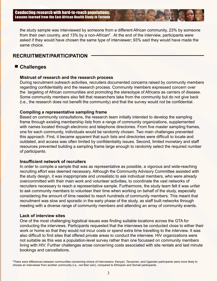the study sample was interviewed by someone from a different African community, 23% by someone from their own country, and 13% by a non-African<sup>2</sup>. At the end of the interview, participants were asked if they would have chosen the same type of interviewer; 93% said they would have made the same choice.

#### **RECRUITMENT/PARTICIPATION**

#### **Challenges**

#### **Mistrust of research and the research process**

During recruitment outreach activities, recruiters documented concerns raised by community members regarding confidentiality and the research process. Community members expressed concern over the targeting of African communities and promoting the stereotype of Africans as carriers of disease. Some community members also felt that researchers take from the community but do not give back (i.e., the research does not benefit the community) and that the survey would not be confidential.

#### **Compiling a representative sampling frame**

Based on community consultations, the research team initially intended to develop the sampling frame through existing membership lists from a range of community organizations, supplemented with names located through electronic and telephone directories. From five master sampling frames, one for each community, individuals would be randomly chosen. Two main challenges prevented this approach. First, it became apparent that such lists and directories were difficult to locate and outdated, and access was often limited by confidentiality issues. Second, limited monetary and staff resources prevented building a sampling frame large enough to randomly select the required number of participants.

#### **Insufficient network of recruiters**

In order to compile a sample that was as representative as possible, a vigorous and wide-reaching recruiting effort was deemed necessary. Although the Community Advisory Committee assisted with the study design, it was inappropriate and unrealistic to ask individual members, who were already overcommitted with their main work and volunteer activities, to coordinate the vast networks of recruiters necessary to reach a representative sample. Furthermore, the study team felt it was unfair to ask community members to volunteer their time when working on behalf of the study, especially considering the amount of time needed to reach hundreds of community members. This meant that recruitment was slow and sporadic in the early phase of the study, as staff built networks through meeting with a diverse range of community members and attending an array of community events.

#### **Lack of interview sites**

One of the most challenging logistical issues was finding suitable locations across the GTA for conducting the interviews. Participants requested that the interviews be conducted close to either their work or home so that they would not incur costs or spend extra time travelling to the interview. It was also difficult to find sites that offered private areas to conduct the interview. HIV organizations were not suitable as this was a population-level survey rather than one focussed on community members living with HIV. Further challenges arose concerning costs associated with site rentals and last minute bookings and cancellations.

2 There were differences between communities concerning choice of interviewers: Kenyan, Tanzanian, and Ugandan participants were more likely to choose an interviewer from another community (i.e., not their own), compared to Ethiopian and Somali participants.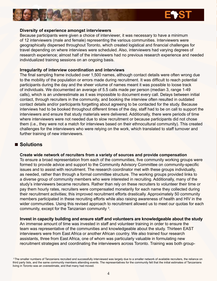

#### **Diversity of experience amongst interviewers**

Because participants were given a choice of interviewer, it was necessary to have a minimum of 12 interviewers (male and female) representing the various communities. Interviewers were geographically dispersed throughout Toronto, which created logistical and financial challenges for travel depending on where interviews were scheduled. Also, interviewers had varying degrees of research experience; almost half of the interviewers had no previous research experience and needed individualized training sessions on an ongoing basis.

#### **Irregularity of interview coordination and interviews**

The final sampling frame included over 1,500 names, although contact details were often wrong due to the mobility of the population or errors made during recruitment. It was difficult to reach potential participants during the day and the sheer volume of names meant it was possible to loose track of individuals. We documented an average of 5.5 calls made per person (median 3, range 1-49 calls), which is an underestimate as it was impossible to document every call. Delays between initial contact, through recruiters in the community, and booking the interview often resulted in outdated contact details and/or participants forgetting about agreeing to be contacted for the study. Because interviews had to be booked throughout different times of the day, staff had to be on call to support the interviewers and ensure that study materials were delivered. Additionally, there were periods of time where interviewers were not needed due to slow recruitment or because participants did not chose them (i.e., they were not a match for interviews based on their ethnocultural community). This created challenges for the interviewers who were relying on the work, which translated to staff turnover and further training of new interviewers.

#### ■ Solutions

#### **Create wide network of recruiters from a variety of sources and provide compensation**

To ensure a broad representation from each of the communities, five community working groups were formed to provide advice and support to the Community Advisory Committee on community-specific issues and to assist with recruitment. The research coordinator met with these groups individually, as needed, rather than through a formal committee structure. The working groups provided links to a diverse group of community members who were interested in recruiting. Additionally, many of the study's interviewers became recruiters. Rather than rely on these recruiters to volunteer their time or pay them hourly rates, recruiters were compensated monetarily for each name they collected during their recruitment activities; this improved recruitment efforts drastically. Approximately 50 community members participated in these recruiting efforts while also raising awareness of health and HIV in the wider communities. Using this revised approach to recruitment allowed us to meet our quotas for each community, except for the Tanzanian community<sup>3</sup>.

#### **Invest in capacity building and ensure staff and volunteers are knowledgeable about the study**

An immense amount of time was invested in staff and volunteer training in order to ensure the team was representative of the communities and knowledgeable about the study. Thirteen EAST interviewers were from East Africa or another African country. We also trained four research assistants, three from East Africa, one of whom was particularly valuable in formulating new recruitment strategies and coordinating the interviewers across Toronto. Training was both group-

<sup>&</sup>lt;sup>3</sup> The smaller numbers of Tanzanians recruited and successfully interviewed was largely due to a smaller network of available recruiters, the reliance on third party lists, and the same community members attending events. The representatives for the community felt that the initial estimates of Tanzanians living in Toronto was an overestimate, and that many had moved.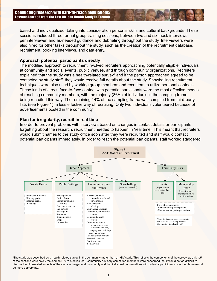based and individualized, taking into consideration personal skills and cultural backgrounds. These sessions included three formal group training sessions, between two and six mock interviews per interviewer, and as-needed guidance and debriefing throughout the study. Interviewers were also hired for other tasks throughout the study, such as the creation of the recruitment database, recruitment, booking interviews, and data entry.

#### **Approach potential participants directly**

The modified approach to recruitment involved recruiters approaching potentially eligible individuals at community and social events, public venues, and through community organizations. Recruiters explained that the study was a health-related survey<sup>4</sup> and if the person approached agreed to be contacted by study staff, they would receive full details about the study. Snowballing recruitment techniques were also used by working group members and recruiters to utilize personal contacts. These kinds of direct, face-to-face contact with potential participants were the most effective modes of reaching community members, with the majority (86%) of individuals in the sampling frame being recruited this way. The remaining 14% of the sampling frame was compiled from third-party lists (see Figure 1), a less effective way of recruiting. Only two individuals volunteered because of advertisements posted in the community.

#### **Plan for irregularity, recruit in real time**

In order to prevent problems with interviews based on changes in contact details or participants forgetting about the research, recruitment needed to happen in 'real time'. This meant that recruiters would submit names to the study office soon after they were recruited and staff would contact potential participants immediately. In order to reach the potential participants, staff worked staggered



4 The study was described as a health-related survey in the community rather than an HIV study. This reflects the components of the survey, as only 1/5 of the sections were solely focused on HIV-related issues. Community advisory committee members were concerned that it would be too difficult to discuss the HIV-related aspects of the study in the general community and that individual conversations with potential participants over the phone would be more appropriate.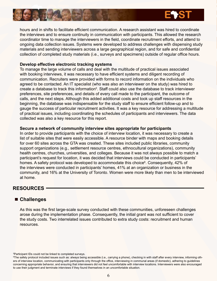

hours and in shifts to facilitate efficient communication. A research assistant was hired to coordinate the interviews and to ensure continuity in communication with participants. This allowed the research coordinator time to manage the interviewers in the field, coordinate recruitment efforts, and attend to ongoing data collection issues. Systems were developed to address challenges with dispensing study materials and sending interviewers across a large geographical region, and for safe and confidential collection of completed study materials (i.e., surveys and specimens) outside of regular office hours.

#### **Develop effective electronic tracking systems**

To manage the large volume of calls and deal with the multitude of practical issues associated with booking interviews, it was necessary to have efficient systems and diligent recording of communication. Recruiters were provided with forms to record information on the individuals who agreed to be contacted. An IT specialist (who was also an interviewer on the study) was hired to create a database to track this information<sup>5</sup>. Staff could also use the database to track interviewer preferences, site preferences, and details of every call made to the participant, the outcome of calls, and the next steps. Although this added additional costs and took up staff resources in the beginning, the database was indispensable for the study staff to ensure efficient follow-up and to gauge the success of particular recruitment activities. It was a key resource for addressing a multitude of practical issues, including coordinating the schedules of participants and interviewers. The data collected was also a key resource for this report.

#### **Secure a network of community interview sites appropriate for participants**

In order to provide participants with the choice of interview location, it was necessary to create a list of suitable sites that were easily accessible. A resource binder with maps and booking details for over 60 sites across the GTA was created. These sites included public libraries, community support organizations (e.g., settlement resource centres, ethnocultural organizations), community health centres, churches, universities, and colleges. Because it was not always possible to match a participant's request for location, it was decided that interviews could be conducted in participants' homes. A safety protocol was developed to accommodate this choice<sup>6</sup>. Consequently, 42% of the interviews were conducted in participants' homes, 41% at an organization or business in the community, and 16% at the University of Toronto. Women were more likely than men to be interviewed at home.

#### **RESOURCES**

#### **Challenges**

As this was the first large-scale survey conducted with these communities, unforeseen challenges arose during the implementation phase. Consequently, the initial grant was not sufficient to cover the study costs. Two interrelated issues contributed to extra study costs: recruitment and human resources.

5 Participant IDs could not be linked to completed surveys.

<sup>6</sup> The safety protocol included issues such as: always being accessible (i.e., carrying a phone), checking in with staff after every interview, informing others of interview location, communicating with participants only through the office, interviewing in communal areas (if domestic), adhering to guidelines concerning appropriate behavior, and ensuring that interviewers did not feel uncomfortable with interview locations. Interviewers were also encouraged to use their judgment and terminate interviews if they found themselves in an uncomfortable situation.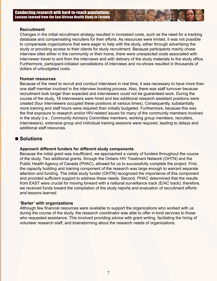#### **Recruitment**

Changes in the initial recruitment strategy resulted in increased costs, such as the need for a tracking database and compensating recruiters for their efforts. As resources were limited, it was not possible to compensate organizations that were eager to help with the study, either through advertising the study or providing access to their clients for study recruitment. Because participants mainly chose interview sites either in the community or their home, there were unexpected costs associated with interviewer travel to and from the interviews and with delivery of the study materials to the study office. Furthermore, participant-initiated cancellations of interviews and no-shows resulted in thousands of dollars of unbudgeted costs.

#### **Human resources**

Because of the need to recruit and conduct interviews in real time, it was necessary to have more than one staff member involved in the interview booking process. Also, there was staff turnover because recruitment took longer than expected and interviewers could not be guaranteed work. During the course of the study, 18 interviewers were hired and two additional research assistant positions were created (four interviewers occupied these positions at various times). Consequently, substantially more training and staff hours were required than initially budgeted. Furthermore, because this was the first exposure to research and/or HIV-related issues for many of the community members involved in the study (i.e., Community Advisory Committee members, working group members, recruiters, interviewers), extensive group and individual training sessions were required, leading to delays and additional staff resources.

#### ■ Solutions

#### **Approach different funders for different study components**

Because the initial grant was insufficient, we approached a variety of funders throughout the course of the study. Two additional grants, through the Ontario HIV Treatment Network (OHTN) and the Public Health Agency of Canada (PHAC), allowed for us to successfully complete the project. First, the capacity building and training component of the research was large enough to warrant separate attention and funding. The initial study funder (OHTN) recognized the importance of this component and provided sufficient support to address these needs. Second, PHAC determined that the results from EAST were crucial for moving forward with a national surveillance track (E/AC track); therefore, we received funds toward the compilation of the study reports and evaluation of recruitment efforts and lessons learned.

#### **'Barter' with organizations**

Although few financial resources were available to support the organizations who worked with us during the course of the study, the research coordinator was able to offer in-kind services to those who requested assistance. This involved providing advice with grant writing, faciliating the hiring of volunteer research staff, and brainstorming about the research needs of organizations.